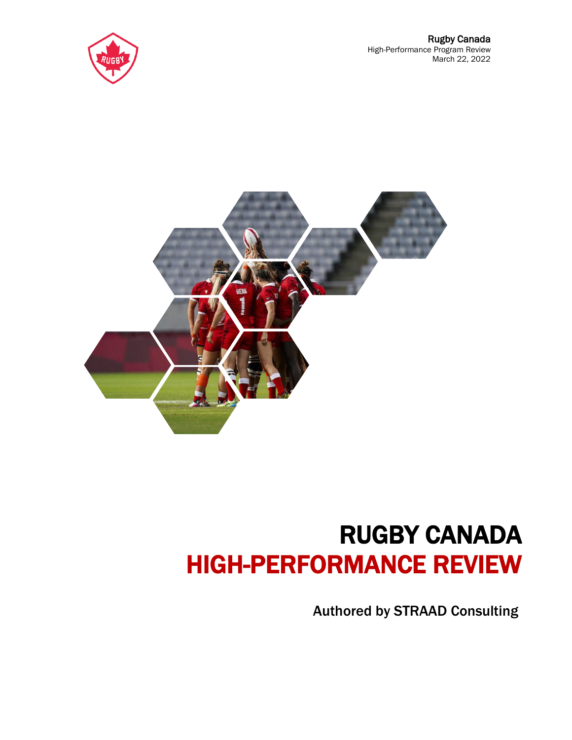



# RUGBY CANADA HIGH-PERFORMANCE REVIEW

Authored by STRAAD Consulting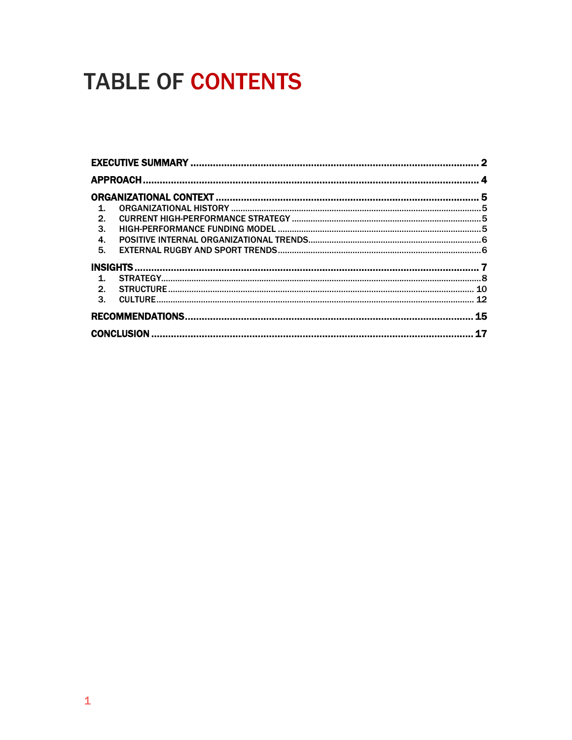# **TABLE OF CONTENTS**

| $\mathbf{1}$     |    |
|------------------|----|
| $\overline{2}$ . |    |
| 3.               |    |
| 4.               |    |
| 5.               |    |
|                  |    |
| $\mathbf{1}$     |    |
|                  |    |
| 3.               |    |
|                  | 15 |
|                  |    |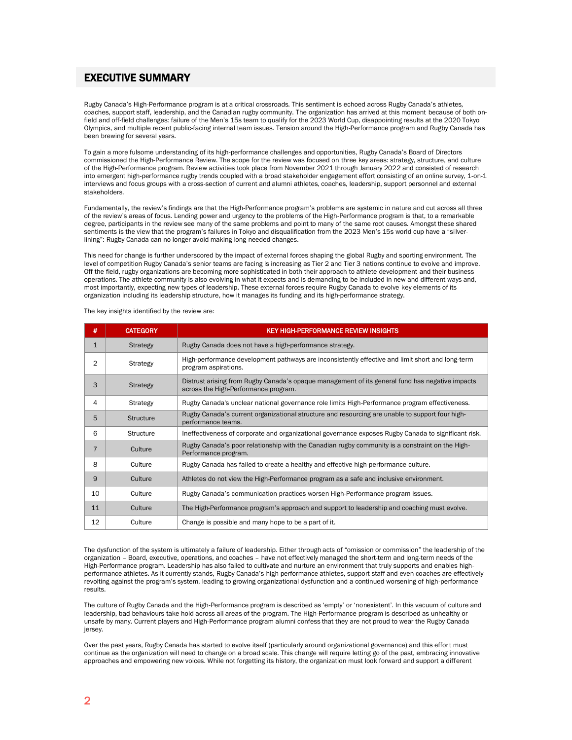# <span id="page-2-0"></span>EXECUTIVE SUMMARY

Rugby Canada's High-Performance program is at a critical crossroads. This sentiment is echoed across Rugby Canada's athletes, coaches, support staff, leadership, and the Canadian rugby community. The organization has arrived at this moment because of both onfield and off-field challenges: failure of the Men's 15s team to qualify for the 2023 World Cup, disappointing results at the 2020 Tokyo Olympics, and multiple recent public-facing internal team issues. Tension around the High-Performance program and Rugby Canada has been brewing for several years.

To gain a more fulsome understanding of its high-performance challenges and opportunities, Rugby Canada's Board of Directors commissioned the High-Performance Review. The scope for the review was focused on three key areas: strategy, structure, and culture of the High-Performance program. Review activities took place from November 2021 through January 2022 and consisted of research into emergent high-performance rugby trends coupled with a broad stakeholder engagement effort consisting of an online survey, 1-on-1 interviews and focus groups with a cross-section of current and alumni athletes, coaches, leadership, support personnel and external stakeholders.

Fundamentally, the review's findings are that the High-Performance program's problems are systemic in nature and cut across all three of the review's areas of focus. Lending power and urgency to the problems of the High-Performance program is that, to a remarkable degree, participants in the review see many of the same problems and point to many of the same root causes. Amongst these shared sentiments is the view that the program's failures in Tokyo and disqualification from the 2023 Men's 15s world cup have a "silverlining": Rugby Canada can no longer avoid making long-needed changes.

This need for change is further underscored by the impact of external forces shaping the global Rugby and sporting environment. The level of competition Rugby Canada's senior teams are facing is increasing as Tier 2 and Tier 3 nations continue to evolve and improve. Off the field, rugby organizations are becoming more sophisticated in both their approach to athlete development and their business operations. The athlete community is also evolving in what it expects and is demanding to be included in new and different ways and, most importantly, expecting new types of leadership. These external forces require Rugby Canada to evolve key elements of its organization including its leadership structure, how it manages its funding and its high-performance strategy.

| #              | <b>CATEGORY</b>  | <b>KEY HIGH-PERFORMANCE REVIEW INSIGHTS</b>                                                                                             |
|----------------|------------------|-----------------------------------------------------------------------------------------------------------------------------------------|
| $\mathbf{1}$   | <b>Strategy</b>  | Rugby Canada does not have a high-performance strategy.                                                                                 |
| $\overline{2}$ | Strategy         | High-performance development pathways are inconsistently effective and limit short and long-term<br>program aspirations.                |
| 3              | <b>Strategy</b>  | Distrust arising from Rugby Canada's opaque management of its general fund has negative impacts<br>across the High-Performance program. |
| 4              | Strategy         | Rugby Canada's unclear national governance role limits High-Performance program effectiveness.                                          |
| 5              | <b>Structure</b> | Rugby Canada's current organizational structure and resourcing are unable to support four high-<br>performance teams.                   |
| 6              | <b>Structure</b> | Ineffectiveness of corporate and organizational governance exposes Rugby Canada to significant risk.                                    |
| $\overline{7}$ | Culture          | Rugby Canada's poor relationship with the Canadian rugby community is a constraint on the High-<br>Performance program.                 |
| 8              | Culture          | Rugby Canada has failed to create a healthy and effective high-performance culture.                                                     |
| 9              | Culture          | Athletes do not view the High-Performance program as a safe and inclusive environment.                                                  |
| 10             | Culture          | Rugby Canada's communication practices worsen High-Performance program issues.                                                          |
| 11             | Culture          | The High-Performance program's approach and support to leadership and coaching must evolve.                                             |
| 12             | Culture          | Change is possible and many hope to be a part of it.                                                                                    |

The key insights identified by the review are:

The dysfunction of the system is ultimately a failure of leadership. Either through acts of "omission or commission" the leadership of the organization – Board, executive, operations, and coaches – have not effectively managed the short-term and long-term needs of the High-Performance program. Leadership has also failed to cultivate and nurture an environment that truly supports and enables highperformance athletes. As it currently stands, Rugby Canada's high-performance athletes, support staff and even coaches are effectively revolting against the program's system, leading to growing organizational dysfunction and a continued worsening of high-performance results.

The culture of Rugby Canada and the High-Performance program is described as 'empty' or 'nonexistent'. In this vacuum of culture and leadership, bad behaviours take hold across all areas of the program. The High-Performance program is described as unhealthy or unsafe by many. Current players and High-Performance program alumni confess that they are not proud to wear the Rugby Canada jersey.

Over the past years, Rugby Canada has started to evolve itself (particularly around organizational governance) and this effort must continue as the organization will need to change on a broad scale. This change will require letting go of the past, embracing innovative approaches and empowering new voices. While not forgetting its history, the organization must look forward and support a different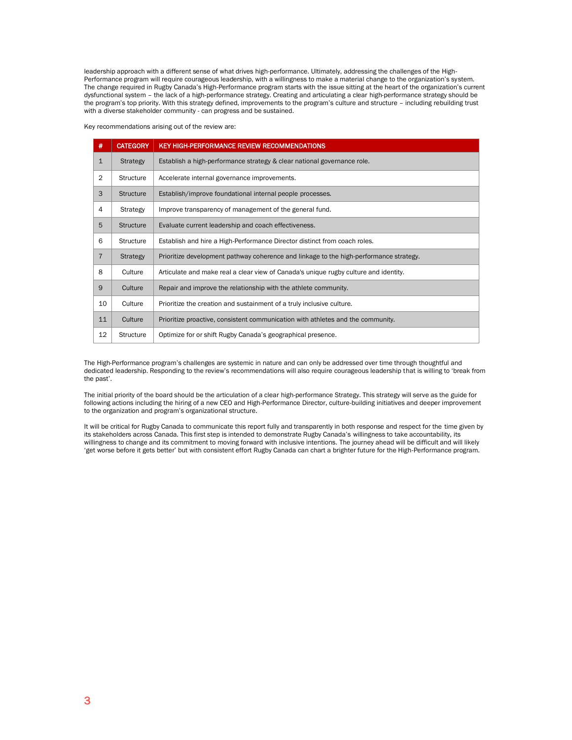leadership approach with a different sense of what drives high-performance. Ultimately, addressing the challenges of the High-Performance program will require courageous leadership, with a willingness to make a material change to the organization's system. The change required in Rugby Canada's High-Performance program starts with the issue sitting at the heart of the organization's current dysfunctional system – the lack of a high-performance strategy. Creating and articulating a clear high-performance strategy should be the program's top priority. With this strategy defined, improvements to the program's culture and structure – including rebuilding trust with a diverse stakeholder community - can progress and be sustained.

Key recommendations arising out of the review are:

| #              | <b>CATEGORY</b>  | <b>KEY HIGH-PERFORMANCE REVIEW RECOMMENDATIONS</b>                                     |
|----------------|------------------|----------------------------------------------------------------------------------------|
| $\mathbf{1}$   | <b>Strategy</b>  | Establish a high-performance strategy & clear national governance role.                |
| $\overline{2}$ | <b>Structure</b> | Accelerate internal governance improvements.                                           |
| 3              | <b>Structure</b> | Establish/improve foundational internal people processes.                              |
| 4              | <b>Strategy</b>  | Improve transparency of management of the general fund.                                |
| 5              | <b>Structure</b> | Evaluate current leadership and coach effectiveness.                                   |
| 6              | <b>Structure</b> | Establish and hire a High-Performance Director distinct from coach roles.              |
| $\overline{7}$ | <b>Strategy</b>  | Prioritize development pathway coherence and linkage to the high-performance strategy. |
| 8              | Culture          | Articulate and make real a clear view of Canada's unique rugby culture and identity.   |
| 9              | Culture          | Repair and improve the relationship with the athlete community.                        |
| 10             | Culture          | Prioritize the creation and sustainment of a truly inclusive culture.                  |
| 11             | Culture          | Prioritize proactive, consistent communication with athletes and the community.        |
| 12             | <b>Structure</b> | Optimize for or shift Rugby Canada's geographical presence.                            |

The High-Performance program's challenges are systemic in nature and can only be addressed over time through thoughtful and dedicated leadership. Responding to the review's recommendations will also require courageous leadership that is willing to 'break from the past'.

The initial priority of the board should be the articulation of a clear high-performance Strategy. This strategy will serve as the guide for following actions including the hiring of a new CEO and High-Performance Director, culture-building initiatives and deeper improvement to the organization and program's organizational structure.

It will be critical for Rugby Canada to communicate this report fully and transparently in both response and respect for the time given by its stakeholders across Canada. This first step is intended to demonstrate Rugby Canada's willingness to take accountability, its willingness to change and its commitment to moving forward with inclusive intentions. The journey ahead will be difficult and will likely 'get worse before it gets better' but with consistent effort Rugby Canada can chart a brighter future for the High-Performance program.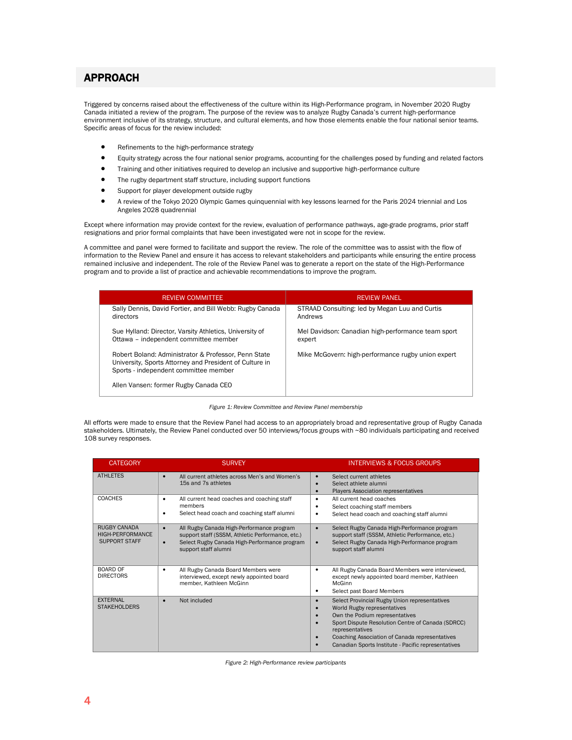# <span id="page-4-0"></span>APPROACH

Triggered by concerns raised about the effectiveness of the culture within its High-Performance program, in November 2020 Rugby Canada initiated a review of the program. The purpose of the review was to analyze Rugby Canada's current high-performance environment inclusive of its strategy, structure, and cultural elements, and how those elements enable the four national senior teams. Specific areas of focus for the review included:

- Refinements to the high-performance strategy
- Equity strategy across the four national senior programs, accounting for the challenges posed by funding and related factors
- Training and other initiatives required to develop an inclusive and supportive high-performance culture
- The rugby department staff structure, including support functions
- Support for player development outside rugby
- A review of the Tokyo 2020 Olympic Games quinquennial with key lessons learned for the Paris 2024 triennial and Los Angeles 2028 quadrennial

Except where information may provide context for the review, evaluation of performance pathways, age-grade programs, prior staff resignations and prior formal complaints that have been investigated were not in scope for the review.

A committee and panel were formed to facilitate and support the review. The role of the committee was to assist with the flow of information to the Review Panel and ensure it has access to relevant stakeholders and participants while ensuring the entire process remained inclusive and independent. The role of the Review Panel was to generate a report on the state of the High-Performance program and to provide a list of practice and achievable recommendations to improve the program.

| <b>REVIEW COMMITTEE</b>                                                                                                                                  | <b>REVIEW PANEL</b>                                          |
|----------------------------------------------------------------------------------------------------------------------------------------------------------|--------------------------------------------------------------|
| Sally Dennis, David Fortier, and Bill Webb: Rugby Canada<br>directors                                                                                    | STRAAD Consulting: led by Megan Luu and Curtis<br>Andrews    |
| Sue Hylland: Director, Varsity Athletics, University of<br>Ottawa - independent committee member                                                         | Mel Davidson: Canadian high-performance team sport<br>expert |
| Robert Boland: Administrator & Professor, Penn State<br>University, Sports Attorney and President of Culture in<br>Sports - independent committee member | Mike McGovern: high-performance rugby union expert           |
| Allen Vansen: former Rugby Canada CEO                                                                                                                    |                                                              |

*Figure 1: Review Committee and Review Panel membership*

All efforts were made to ensure that the Review Panel had access to an appropriately broad and representative group of Rugby Canada stakeholders. Ultimately, the Review Panel conducted over 50 interviews/focus groups with ~80 individuals participating and received 108 survey responses.

| <b>CATEGORY</b>                                          | <b>SURVEY</b>                                                                                                                                                                                   | <b>INTERVIEWS &amp; FOCUS GROUPS</b>                                                                                                                                                                                                                                                            |
|----------------------------------------------------------|-------------------------------------------------------------------------------------------------------------------------------------------------------------------------------------------------|-------------------------------------------------------------------------------------------------------------------------------------------------------------------------------------------------------------------------------------------------------------------------------------------------|
| <b>ATHLETES</b>                                          | All current athletes across Men's and Women's<br>$\bullet$<br>15s and 7s athletes                                                                                                               | Select current athletes<br>Select athlete alumni<br><b>Players Association representatives</b>                                                                                                                                                                                                  |
| <b>COACHES</b>                                           | All current head coaches and coaching staff<br>٠<br>members<br>Select head coach and coaching staff alumni<br>٠                                                                                 | All current head coaches<br>٠<br>Select coaching staff members<br>Select head coach and coaching staff alumni<br>٠                                                                                                                                                                              |
| RUGBY CANADA<br>HIGH-PERFORMANCE<br><b>SUPPORT STAFF</b> | All Rugby Canada High-Performance program<br>$\bullet$<br>support staff (SSSM, Athletic Performance, etc.)<br>Select Rugby Canada High-Performance program<br>$\bullet$<br>support staff alumni | Select Rugby Canada High-Performance program<br>$\bullet$<br>support staff (SSSM, Athletic Performance, etc.)<br>Select Rugby Canada High-Performance program<br>$\bullet$<br>support staff alumni                                                                                              |
| <b>BOARD OF</b><br><b>DIRECTORS</b>                      | All Rugby Canada Board Members were<br>٠<br>interviewed, except newly appointed board<br>member, Kathleen McGinn                                                                                | All Rugby Canada Board Members were interviewed,<br>٠<br>except newly appointed board member, Kathleen<br>McGinn<br>Select past Board Members<br>٠                                                                                                                                              |
| <b>EXTERNAL</b><br><b>STAKEHOLDERS</b>                   | Not included<br>$\bullet$                                                                                                                                                                       | Select Provincial Rugby Union representatives<br>World Rugby representatives<br>Own the Podium representatives<br>Sport Dispute Resolution Centre of Canada (SDRCC)<br>representatives<br>Coaching Association of Canada representatives<br>Canadian Sports Institute - Pacific representatives |

*Figure 2: High-Performance review participants*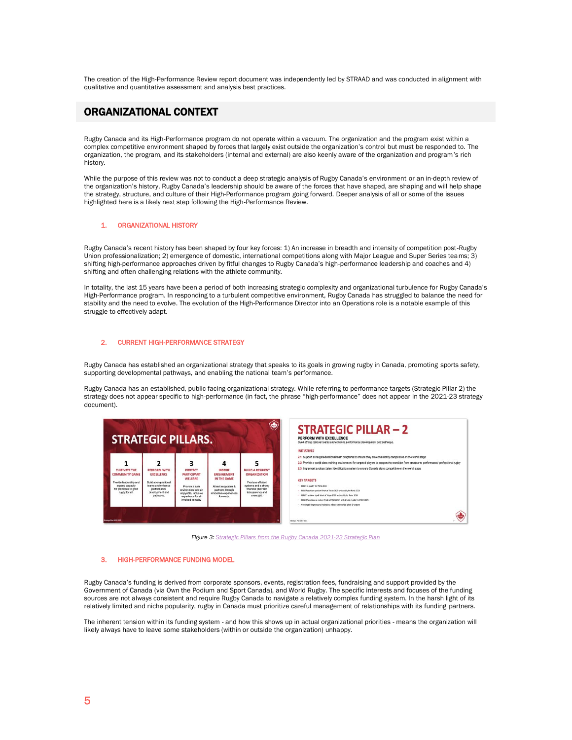The creation of the High-Performance Review report document was independently led by STRAAD and was conducted in alignment with qualitative and quantitative assessment and analysis best practices.

# <span id="page-5-0"></span>ORGANIZATIONAL CONTEXT

Rugby Canada and its High-Performance program do not operate within a vacuum. The organization and the program exist within a complex competitive environment shaped by forces that largely exist outside the organization's control but must be responded to. The organization, the program, and its stakeholders (internal and external) are also keenly aware of the organization and program's rich history.

While the purpose of this review was not to conduct a deep strategic analysis of Rugby Canada's environment or an in-depth review of the organization's history, Rugby Canada's leadership should be aware of the forces that have shaped, are shaping and will help shape the strategy, structure, and culture of their High-Performance program going forward. Deeper analysis of all or some of the issues highlighted here is a likely next step following the High-Performance Review.

## <span id="page-5-1"></span>1. ORGANIZATIONAL HISTORY

Rugby Canada's recent history has been shaped by four key forces: 1) An increase in breadth and intensity of competition post-Rugby Union professionalization; 2) emergence of domestic, international competitions along with Major League and Super Series teams; 3) shifting high-performance approaches driven by fitful changes to Rugby Canada's high-performance leadership and coaches and 4) shifting and often challenging relations with the athlete community.

In totality, the last 15 years have been a period of both increasing strategic complexity and organizational turbulence for Rugby Canada's High-Performance program. In responding to a turbulent competitive environment, Rugby Canada has struggled to balance the need for stability and the need to evolve. The evolution of the High-Performance Director into an Operations role is a notable example of this struggle to effectively adapt.

## <span id="page-5-2"></span>2. CURRENT HIGH-PERFORMANCE STRATEGY

Rugby Canada has established an organizational strategy that speaks to its goals in growing rugby in Canada, promoting sports safety, supporting developmental pathways, and enabling the national team's performance.

Rugby Canada has an established, public-facing organizational strategy. While referring to performance targets (Strategic Pillar 2) the strategy does not appear specific to high-performance (in fact, the phrase "high-performance" does not appear in the 2021-23 strategy document).



*Figure 3: Strategic Pillars from the [Rugby Canada 2021-23](https://rugby.ca/uploads/Strategic_Plan_%28Public%29_-_FINAL_-_MAR_1_2021.pdf) Strategic Plan* 

## <span id="page-5-3"></span>3. HIGH-PERFORMANCE FUNDING MODEL

Rugby Canada's funding is derived from corporate sponsors, events, registration fees, fundraising and support provided by the Government of Canada (via Own the Podium and Sport Canada), and World Rugby. The specific interests and focuses of the funding sources are not always consistent and require Rugby Canada to navigate a relatively complex funding system. In the harsh light of its relatively limited and niche popularity, rugby in Canada must prioritize careful management of relationships with its funding partners.

The inherent tension within its funding system - and how this shows up in actual organizational priorities - means the organization will likely always have to leave some stakeholders (within or outside the organization) unhappy.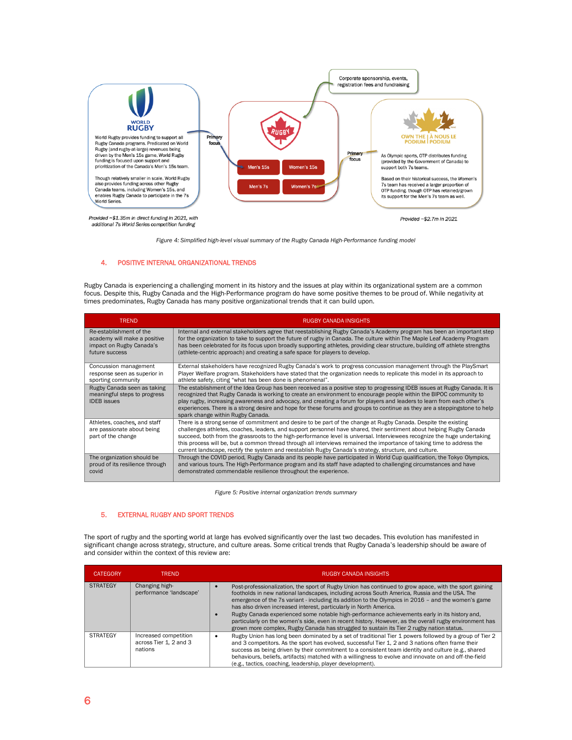

*Figure 4: Simplified high-level visual summary of the Rugby Canada High-Performance funding model* 

## <span id="page-6-0"></span>4. POSITIVE INTERNAL ORGANIZATIONAL TRENDS

Rugby Canada is experiencing a challenging moment in its history and the issues at play within its organizational system are a common focus. Despite this, Rugby Canada and the High-Performance program do have some positive themes to be proud of. While negativity at times predominates, Rugby Canada has many positive organizational trends that it can build upon.

| <b>TREND</b>                                                                      | <b>RUGBY CANADA INSIGHTS</b>                                                                                                                                                                                                                                                                                                                                                                                                                                                                                                                                                                             |
|-----------------------------------------------------------------------------------|----------------------------------------------------------------------------------------------------------------------------------------------------------------------------------------------------------------------------------------------------------------------------------------------------------------------------------------------------------------------------------------------------------------------------------------------------------------------------------------------------------------------------------------------------------------------------------------------------------|
| Re-establishment of the                                                           | Internal and external stakeholders agree that reestablishing Rugby Canada's Academy program has been an important step                                                                                                                                                                                                                                                                                                                                                                                                                                                                                   |
| academy will make a positive                                                      | for the organization to take to support the future of rugby in Canada. The culture within The Maple Leaf Academy Program                                                                                                                                                                                                                                                                                                                                                                                                                                                                                 |
| impact on Rugby Canada's                                                          | has been celebrated for its focus upon broadly supporting athletes, providing clear structure, building off athlete strengths                                                                                                                                                                                                                                                                                                                                                                                                                                                                            |
| future success                                                                    | (athlete-centric approach) and creating a safe space for players to develop.                                                                                                                                                                                                                                                                                                                                                                                                                                                                                                                             |
| Concussion management                                                             | External stakeholders have recognized Rugby Canada's work to progress concussion management through the PlaySmart                                                                                                                                                                                                                                                                                                                                                                                                                                                                                        |
| response seen as superior in                                                      | Player Welfare program. Stakeholders have stated that the organization needs to replicate this model in its approach to                                                                                                                                                                                                                                                                                                                                                                                                                                                                                  |
| sporting community                                                                | athlete safety, citing "what has been done is phenomenal".                                                                                                                                                                                                                                                                                                                                                                                                                                                                                                                                               |
| Rugby Canada seen as taking<br>meaningful steps to progress<br><b>IDEB</b> issues | The establishment of the Idea Group has been received as a positive step to progressing IDEB issues at Rugby Canada. It is<br>recognized that Rugby Canada is working to create an environment to encourage people within the BIPOC community to<br>play rugby, increasing awareness and advocacy, and creating a forum for players and leaders to learn from each other's<br>experiences. There is a strong desire and hope for these forums and groups to continue as they are a steppingstone to help<br>spark change within Rugby Canada.                                                            |
| Athletes, coaches, and staff<br>are passionate about being<br>part of the change  | There is a strong sense of commitment and desire to be part of the change at Rugby Canada. Despite the existing<br>challenges athletes, coaches, leaders, and support personnel have shared, their sentiment about helping Rugby Canada<br>succeed, both from the grassroots to the high-performance level is universal. Interviewees recognize the huge undertaking<br>this process will be, but a common thread through all interviews remained the importance of taking time to address the<br>current landscape, rectify the system and reestablish Rugby Canada's strategy, structure, and culture. |
| The organization should be                                                        | Through the COVID period, Rugby Canada and its people have participated in World Cup qualification, the Tokyo Olympics,                                                                                                                                                                                                                                                                                                                                                                                                                                                                                  |
| proud of its resilience through                                                   | and various tours. The High-Performance program and its staff have adapted to challenging circumstances and have                                                                                                                                                                                                                                                                                                                                                                                                                                                                                         |
| covid                                                                             | demonstrated commendable resilience throughout the experience.                                                                                                                                                                                                                                                                                                                                                                                                                                                                                                                                           |

*Figure 5: Positive internal organization trends summary* 

## <span id="page-6-1"></span>5. EXTERNAL RUGBY AND SPORT TRENDS

The sport of rugby and the sporting world at large has evolved significantly over the last two decades. This evolution has manifested in significant change across strategy, structure, and culture areas. Some critical trends that Rugby Canada's leadership should be aware of and consider within the context of this review are:

| <b>CATEGORY</b> | <b>TREND</b>                                               | <b>RUGBY CANADA INSIGHTS</b>                                                                                                                                                                                                                                                                                                                                                                                                                                                                                                                                                                                                                                                                  |
|-----------------|------------------------------------------------------------|-----------------------------------------------------------------------------------------------------------------------------------------------------------------------------------------------------------------------------------------------------------------------------------------------------------------------------------------------------------------------------------------------------------------------------------------------------------------------------------------------------------------------------------------------------------------------------------------------------------------------------------------------------------------------------------------------|
| <b>STRATEGY</b> | Changing high-<br>performance 'landscape'                  | Post-professionalization, the sport of Rugby Union has continued to grow apace, with the sport gaining<br>footholds in new national landscapes, including across South America, Russia and the USA. The<br>emergence of the 7s variant - including its addition to the Olympics in 2016 - and the women's game<br>has also driven increased interest, particularly in North America.<br>Rugby Canada experienced some notable high-performance achievements early in its history and,<br>particularly on the women's side, even in recent history. However, as the overall rugby environment has<br>grown more complex, Rugby Canada has struggled to sustain its Tier 2 rugby nation status. |
| <b>STRATEGY</b> | Increased competition<br>across Tier 1, 2 and 3<br>nations | Rugby Union has long been dominated by a set of traditional Tier 1 powers followed by a group of Tier 2<br>and 3 competitors. As the sport has evolved, successful Tier 1, 2 and 3 nations often frame their<br>success as being driven by their commitment to a consistent team identity and culture (e.g., shared<br>behaviours, beliefs, artifacts) matched with a willingness to evolve and innovate on and off-the-field<br>(e.g., tactics, coaching, leadership, player development).                                                                                                                                                                                                   |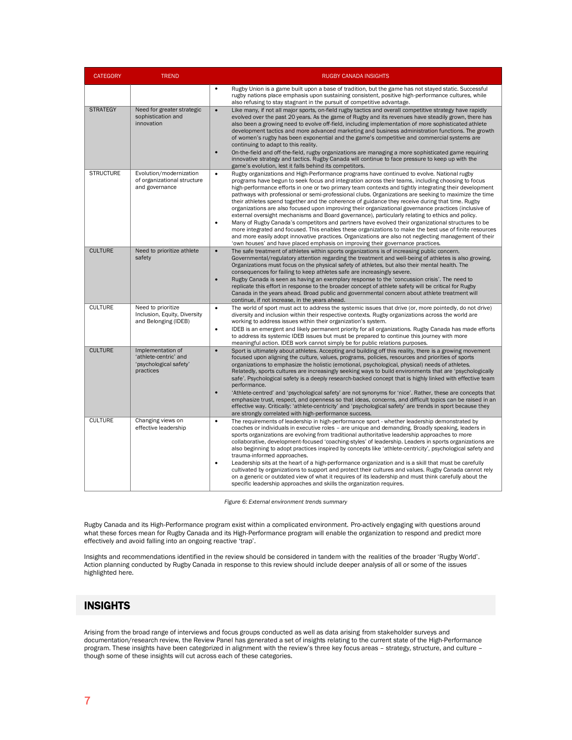| <b>CATEGORY</b>  | <b>TREND</b>                                                                      | <b>RUGBY CANADA INSIGHTS</b>                                                                                                                                                                                                                                                                                                                                                                                                                                                                                                                                                                                                                                                                                                                                                                                                                                                                                                                                                                                                                                                                                                                                |
|------------------|-----------------------------------------------------------------------------------|-------------------------------------------------------------------------------------------------------------------------------------------------------------------------------------------------------------------------------------------------------------------------------------------------------------------------------------------------------------------------------------------------------------------------------------------------------------------------------------------------------------------------------------------------------------------------------------------------------------------------------------------------------------------------------------------------------------------------------------------------------------------------------------------------------------------------------------------------------------------------------------------------------------------------------------------------------------------------------------------------------------------------------------------------------------------------------------------------------------------------------------------------------------|
|                  |                                                                                   | Rugby Union is a game built upon a base of tradition, but the game has not stayed static. Successful<br>$\bullet$<br>rugby nations place emphasis upon sustaining consistent, positive high-performance cultures, while<br>also refusing to stay stagnant in the pursuit of competitive advantage.                                                                                                                                                                                                                                                                                                                                                                                                                                                                                                                                                                                                                                                                                                                                                                                                                                                          |
| <b>STRATEGY</b>  | Need for greater strategic<br>sophistication and<br>innovation                    | Like many, if not all major sports, on-field rugby tactics and overall competitive strategy have rapidly<br>$\bullet$<br>evolved over the past 20 years. As the game of Rugby and its revenues have steadily grown, there has<br>also been a growing need to evolve off-field, including implementation of more sophisticated athlete<br>development tactics and more advanced marketing and business administration functions. The growth<br>of women's rugby has been exponential and the game's competitive and commercial systems are<br>continuing to adapt to this reality.<br>On-the-field and off-the-field, rugby organizations are managing a more sophisticated game requiring<br>$\bullet$<br>innovative strategy and tactics. Rugby Canada will continue to face pressure to keep up with the<br>game's evolution, lest it falls behind its competitors.                                                                                                                                                                                                                                                                                       |
| <b>STRUCTURE</b> | Evolution/modernization<br>of organizational structure<br>and governance          | Rugby organizations and High-Performance programs have continued to evolve. National rugby<br>programs have begun to seek focus and integration across their teams, including choosing to focus<br>high-performance efforts in one or two primary team contexts and tightly integrating their development<br>pathways with professional or semi-professional clubs. Organizations are seeking to maximize the time<br>their athletes spend together and the coherence of guidance they receive during that time. Rugby<br>organizations are also focused upon improving their organizational governance practices (inclusive of<br>external oversight mechanisms and Board governance), particularly relating to ethics and policy.<br>Many of Rugby Canada's competitors and partners have evolved their organizational structures to be<br>$\bullet$<br>more integrated and focused. This enables these organizations to make the best use of finite resources<br>and more easily adopt innovative practices. Organizations are also not neglecting management of their<br>'own houses' and have placed emphasis on improving their governance practices. |
| <b>CULTURE</b>   | Need to prioritize athlete<br>safety                                              | $\bullet$<br>The safe treatment of athletes within sports organizations is of increasing public concern.<br>Governmental/regulatory attention regarding the treatment and well-being of athletes is also growing.<br>Organizations must focus on the physical safety of athletes, but also their mental health. The<br>consequences for failing to keep athletes safe are increasingly severe.<br>$\bullet$<br>Rugby Canada is seen as having an exemplary response to the 'concussion crisis'. The need to<br>replicate this effort in response to the broader concept of athlete safety will be critical for Rugby<br>Canada in the years ahead. Broad public and governmental concern about athlete treatment will<br>continue, if not increase, in the years ahead.                                                                                                                                                                                                                                                                                                                                                                                     |
| <b>CULTURE</b>   | Need to prioritize<br>Inclusion, Equity, Diversity<br>and Belonging (IDEB)        | $\bullet$<br>The world of sport must act to address the systemic issues that drive (or, more pointedly, do not drive)<br>diversity and inclusion within their respective contexts. Rugby organizations across the world are<br>working to address issues within their organization's system.<br>IDEB is an emergent and likely permanent priority for all organizations. Rugby Canada has made efforts<br>$\bullet$<br>to address its systemic IDEB issues but must be prepared to continue this journey with more<br>meaningful action. IDEB work cannot simply be for public relations purposes.                                                                                                                                                                                                                                                                                                                                                                                                                                                                                                                                                          |
| <b>CULTURE</b>   | Implementation of<br>'athlete-centric' and<br>'psychological safety'<br>practices | $\bullet$<br>Sport is ultimately about athletes. Accepting and building off this reality, there is a growing movement<br>focused upon aligning the culture, values, programs, policies, resources and priorities of sports<br>organizations to emphasize the holistic (emotional, psychological, physical) needs of athletes.<br>Relatedly, sports cultures are increasingly seeking ways to build environments that are 'psychologically<br>safe'. Psychological safety is a deeply research-backed concept that is highly linked with effective team<br>performance.<br>$\bullet$<br>Athlete-centred' and 'psychological safety' are not synonyms for 'nice'. Rather, these are concepts that<br>emphasize trust, respect, and openness so that ideas, concerns, and difficult topics can be raised in an<br>effective way. Critically: 'athlete-centricity' and 'psychological safety' are trends in sport because they<br>are strongly correlated with high-performance success.                                                                                                                                                                        |
| <b>CULTURE</b>   | Changing views on<br>effective leadership                                         | The requirements of leadership in high-performance sport - whether leadership demonstrated by<br>$\bullet$<br>coaches or individuals in executive roles - are unique and demanding. Broadly speaking, leaders in<br>sports organizations are evolving from traditional authoritative leadership approaches to more<br>collaborative, development-focused 'coaching-styles' of leadership. Leaders in sports organizations are<br>also beginning to adopt practices inspired by concepts like 'athlete-centricity', psychological safety and<br>trauma-informed approaches.<br>Leadership sits at the heart of a high-performance organization and is a skill that must be carefully<br>$\bullet$<br>cultivated by organizations to support and protect their cultures and values. Rugby Canada cannot rely<br>on a generic or outdated view of what it requires of its leadership and must think carefully about the<br>specific leadership approaches and skills the organization requires.                                                                                                                                                                |

*Figure 6: External environment trends summary*

Rugby Canada and its High-Performance program exist within a complicated environment. Pro-actively engaging with questions around what these forces mean for Rugby Canada and its High-Performance program will enable the organization to respond and predict more effectively and avoid falling into an ongoing reactive 'trap'.

Insights and recommendations identified in the review should be considered in tandem with the realities of the broader 'Rugby World'. Action planning conducted by Rugby Canada in response to this review should include deeper analysis of all or some of the issues highlighted here.

# <span id="page-7-0"></span>INSIGHTS

Arising from the broad range of interviews and focus groups conducted as well as data arising from stakeholder surveys and documentation/research review, the Review Panel has generated a set of insights relating to the current state of the High-Performance program. These insights have been categorized in alignment with the review's three key focus areas – strategy, structure, and culture – though some of these insights will cut across each of these categories.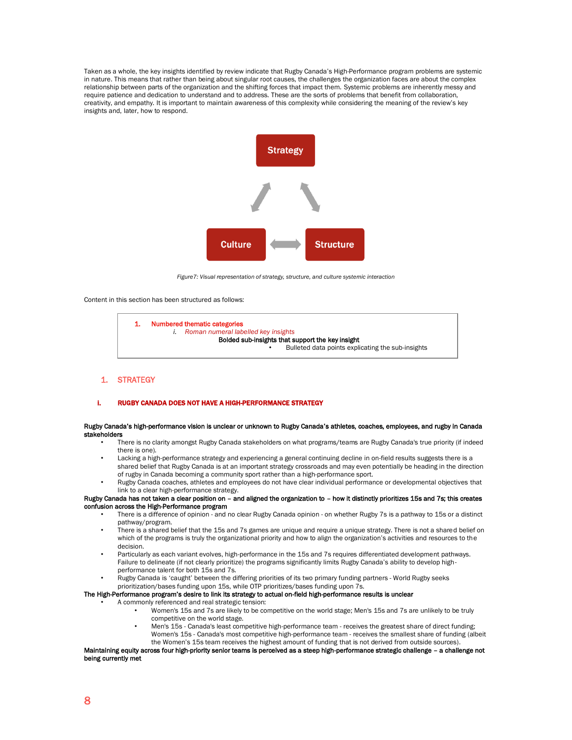Taken as a whole, the key insights identified by review indicate that Rugby Canada's High-Performance program problems are systemic in nature. This means that rather than being about singular root causes, the challenges the organization faces are about the complex relationship between parts of the organization and the shifting forces that impact them. Systemic problems are inherently messy and require patience and dedication to understand and to address. These are the sorts of problems that benefit from collaboration, creativity, and empathy. It is important to maintain awareness of this complexity while considering the meaning of the review's key insights and, later, how to respond.



*Figure7: Visual representation of strategy, structure, and culture systemic interaction* 

Content in this section has been structured as follows:



<span id="page-8-0"></span>1. STRATEGY

#### i. RUGBY CANADA DOES NOT HAVE A HIGH-PERFORMANCE STRATEGY

#### Rugby Canada's high-performance vision is unclear or unknown to Rugby Canada's athletes, coaches, employees, and rugby in Canada stakeholders

- There is no clarity amongst Rugby Canada stakeholders on what programs/teams are Rugby Canada's true priority (if indeed there is one).
- Lacking a high-performance strategy and experiencing a general continuing decline in on-field results suggests there is a shared belief that Rugby Canada is at an important strategy crossroads and may even potentially be heading in the direction of rugby in Canada becoming a community sport rather than a high-performance sport.
- Rugby Canada coaches, athletes and employees do not have clear individual performance or developmental objectives that link to a clear high-performance strategy.

Rugby Canada has not taken a clear position on – and aligned the organization to – how it distinctly prioritizes 15s and 7s; this creates confusion across the High-Performance program

- There is a difference of opinion and no clear Rugby Canada opinion on whether Rugby 7s is a pathway to 15s or a distinct pathway/program.
- There is a shared belief that the 15s and 7s games are unique and require a unique strategy. There is not a shared belief on which of the programs is truly the organizational priority and how to align the organization's activities and resources to the decision.
- Particularly as each variant evolves, high-performance in the 15s and 7s requires differentiated development pathways. Failure to delineate (if not clearly prioritize) the programs significantly limits Rugby Canada's ability to develop highperformance talent for both 15s and 7s.
- Rugby Canada is 'caught' between the differing priorities of its two primary funding partners World Rugby seeks prioritization/bases funding upon 15s, while OTP prioritizes/bases funding upon 7s.

#### The High-Performance program's desire to link its strategy to actual on-field high-performance results is unclear

- A commonly referenced and real strategic tension:
	- Women's 15s and 7s are likely to be competitive on the world stage; Men's 15s and 7s are unlikely to be truly competitive on the world stage.
	- Men's 15s Canada's least competitive high-performance team receives the greatest share of direct funding; Women's 15s - Canada's most competitive high-performance team - receives the smallest share of funding (albeit the Women's 15s team receives the highest amount of funding that is not derived from outside sources).

Maintaining equity across four high-priority senior teams is perceived as a steep high-performance strategic challenge – a challenge not being currently met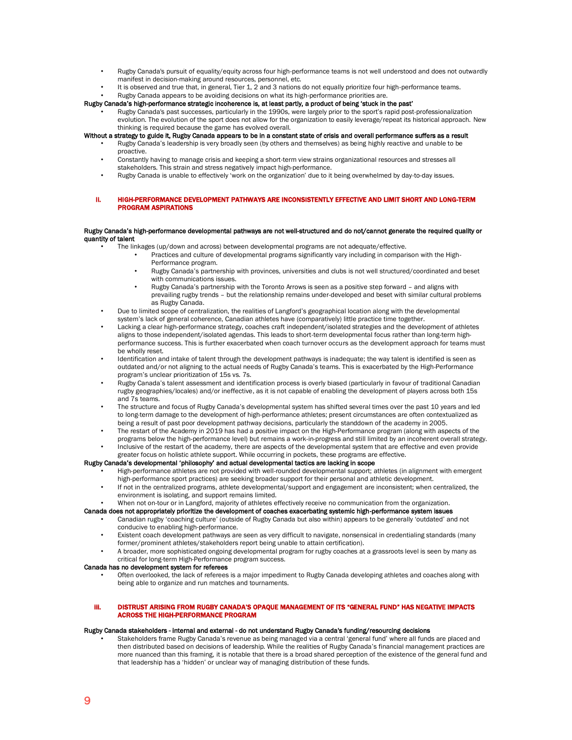- Rugby Canada's pursuit of equality/equity across four high-performance teams is not well understood and does not outwardly manifest in decision-making around resources, personnel, etc.
- It is observed and true that, in general, Tier 1, 2 and 3 nations do not equally prioritize four high-performance teams.
- Rugby Canada appears to be avoiding decisions on what its high-performance priorities are.

## Rugby Canada's high-performance strategic incoherence is, at least partly, a product of being 'stuck in the past'

• Rugby Canada's past successes, particularly in the 1990s, were largely prior to the sport's rapid post-professionalization evolution. The evolution of the sport does not allow for the organization to easily leverage/repeat its historical approach. New thinking is required because the game has evolved overall.

## Without a strategy to guide it, Rugby Canada appears to be in a constant state of crisis and overall performance suffers as a result

- Rugby Canada's leadership is very broadly seen (by others and themselves) as being highly reactive and unable to be proactive.
- Constantly having to manage crisis and keeping a short-term view strains organizational resources and stresses all stakeholders. This strain and stress negatively impact high-performance.
- Rugby Canada is unable to effectively 'work on the organization' due to it being overwhelmed by day-to-day issues.
- ii. HIGH-PERFORMANCE DEVELOPMENT PATHWAYS ARE INCONSISTENTLY EFFECTIVE AND LIMIT SHORT AND LONG-TERM PROGRAM ASPIRATIONS

#### Rugby Canada's high-performance developmental pathways are not well-structured and do not/cannot generate the required quality or quantity of talent

- The linkages (up/down and across) between developmental programs are not adequate/effective.
	- Practices and culture of developmental programs significantly vary including in comparison with the High-Performance program.
		- Rugby Canada's partnership with provinces, universities and clubs is not well structured/coordinated and beset with communications issues.
		- Rugby Canada's partnership with the Toronto Arrows is seen as a positive step forward and aligns with prevailing rugby trends – but the relationship remains under-developed and beset with similar cultural problems as Rugby Canada.
- Due to limited scope of centralization, the realities of Langford's geographical location along with the developmental system's lack of general coherence, Canadian athletes have (comparatively) little practice time together.
- Lacking a clear high-performance strategy, coaches craft independent/isolated strategies and the development of athletes aligns to those independent/isolated agendas. This leads to short-term developmental focus rather than long-term highperformance success. This is further exacerbated when coach turnover occurs as the development approach for teams must be wholly reset.
- Identification and intake of talent through the development pathways is inadequate; the way talent is identified is seen as outdated and/or not aligning to the actual needs of Rugby Canada's teams. This is exacerbated by the High-Performance program's unclear prioritization of 15s vs. 7s.
- Rugby Canada's talent assessment and identification process is overly biased (particularly in favour of traditional Canadian rugby geographies/locales) and/or ineffective, as it is not capable of enabling the development of players across both 15s and 7s teams.
- The structure and focus of Rugby Canada's developmental system has shifted several times over the past 10 years and led to long-term damage to the development of high-performance athletes; present circumstances are often contextualized as being a result of past poor development pathway decisions, particularly the standdown of the academy in 2005.
- The restart of the Academy in 2019 has had a positive impact on the High-Performance program (along with aspects of the programs below the high-performance level) but remains a work-in-progress and still limited by an incoherent overall strategy.
- Inclusive of the restart of the academy, there are aspects of the developmental system that are effective and even provide greater focus on holistic athlete support. While occurring in pockets, these programs are effective.

## Rugby Canada's developmental 'philosophy' and actual developmental tactics are lacking in scope

- High-performance athletes are not provided with well-rounded developmental support; athletes (in alignment with emergent high-performance sport practices) are seeking broader support for their personal and athletic development.
- If not in the centralized programs, athlete developmental/support and engagement are inconsistent; when centralized, the environment is isolating, and support remains limited.
- When not on-tour or in Langford, majority of athletes effectively receive no communication from the organization.

#### Canada does not appropriately prioritize the development of coaches exacerbating systemic high-performance system issues

- Canadian rugby 'coaching culture' (outside of Rugby Canada but also within) appears to be generally 'outdated' and not conducive to enabling high-performance.
- Existent coach development pathways are seen as very difficult to navigate, nonsensical in credentialing standards (many former/prominent athletes/stakeholders report being unable to attain certification).
- A broader, more sophisticated ongoing developmental program for rugby coaches at a grassroots level is seen by many as critical for long-term High-Performance program success.

## Canada has no development system for referees

• Often overlooked, the lack of referees is a major impediment to Rugby Canada developing athletes and coaches along with being able to organize and run matches and tournaments.

#### iii. DISTRUST ARISING FROM RUGBY CANADA'S OPAQUE MANAGEMENT OF ITS "GENERAL FUND" HAS NEGATIVE IMPACTS ACROSS THE HIGH-PERFORMANCE PROGRAM

## Rugby Canada stakeholders - internal and external - do not understand Rugby Canada's funding/resourcing decisions

• Stakeholders frame Rugby Canada's revenue as being managed via a central 'general fund' where all funds are placed and then distributed based on decisions of leadership. While the realities of Rugby Canada's financial management practices are more nuanced than this framing, it is notable that there is a broad shared perception of the existence of the general fund and that leadership has a 'hidden' or unclear way of managing distribution of these funds.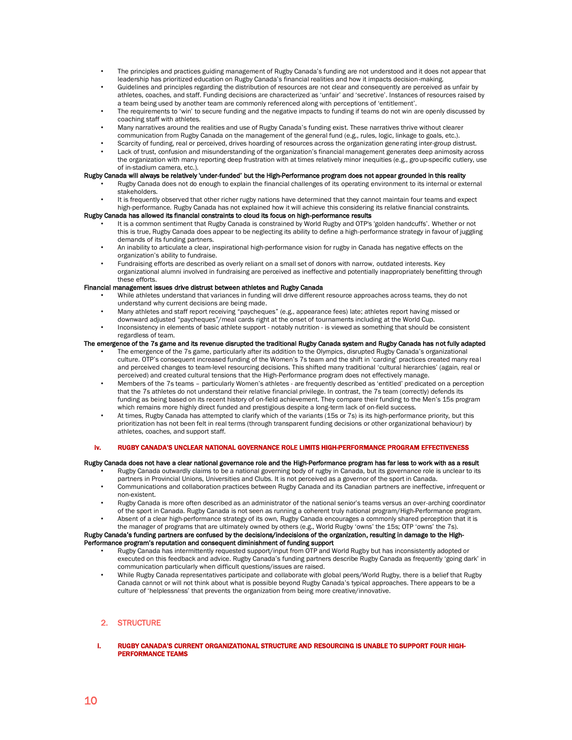- The principles and practices guiding management of Rugby Canada's funding are not understood and it does not appear that leadership has prioritized education on Rugby Canada's financial realities and how it impacts decision-making.
- Guidelines and principles regarding the distribution of resources are not clear and consequently are perceived as unfair by athletes, coaches, and staff. Funding decisions are characterized as 'unfair' and 'secretive'. Instances of resources raised by a team being used by another team are commonly referenced along with perceptions of 'entitlement'.
- The requirements to 'win' to secure funding and the negative impacts to funding if teams do not win are openly discussed by coaching staff with athletes.
- Many narratives around the realities and use of Rugby Canada's funding exist. These narratives thrive without clearer communication from Rugby Canada on the management of the general fund (e.g., rules, logic, linkage to goals, etc.).
- Scarcity of funding, real or perceived, drives hoarding of resources across the organization generating inter-group distrust.
- Lack of trust, confusion and misunderstanding of the organization's financial management generates deep animosity across the organization with many reporting deep frustration with at times relatively minor inequities (e.g., group-specific cutlery, use of in-stadium camera, etc.).

## Rugby Canada will always be relatively 'under-funded' but the High-Performance program does not appear grounded in this reality

- Rugby Canada does not do enough to explain the financial challenges of its operating environment to its internal or external stakeholders.
- It is frequently observed that other richer rugby nations have determined that they cannot maintain four teams and expect high-performance. Rugby Canada has not explained how it will achieve this considering its relative financial constraints.

### Rugby Canada has allowed its financial constraints to cloud its focus on high-performance results

- It is a common sentiment that Rugby Canada is constrained by World Rugby and OTP's 'golden handcuffs'. Whether or not this is true, Rugby Canada does appear to be neglecting its ability to define a high-performance strategy in favour of juggling demands of its funding partners.
- An inability to articulate a clear, inspirational high-performance vision for rugby in Canada has negative effects on the organization's ability to fundraise.
- Fundraising efforts are described as overly reliant on a small set of donors with narrow, outdated interests. Key organizational alumni involved in fundraising are perceived as ineffective and potentially inappropriately benefitting through these efforts.

## Financial management issues drive distrust between athletes and Rugby Canada

- While athletes understand that variances in funding will drive different resource approaches across teams, they do not understand why current decisions are being made.
- Many athletes and staff report receiving "paycheques" (e.g., appearance fees) late; athletes report having missed or downward adjusted "paycheques"/meal cards right at the onset of tournaments including at the World Cup.
- Inconsistency in elements of basic athlete support notably nutrition is viewed as something that should be consistent regardless of team.

## The emergence of the 7s game and its revenue disrupted the traditional Rugby Canada system and Rugby Canada has not fully adapted

- The emergence of the 7s game, particularly after its addition to the Olympics, disrupted Rugby Canada's organizational culture. OTP's consequent increased funding of the Women's 7s team and the shift in 'carding' practices created many real and perceived changes to team-level resourcing decisions. This shifted many traditional 'cultural hierarchies' (again, real or perceived) and created cultural tensions that the High-Performance program does not effectively manage.
- Members of the 7s teams particularly Women's athletes are frequently described as 'entitled' predicated on a perception that the 7s athletes do not understand their relative financial privilege. In contrast, the 7s team (correctly) defends its funding as being based on its recent history of on-field achievement. They compare their funding to the Men's 15s program which remains more highly direct funded and prestigious despite a long-term lack of on-field success.
- At times, Rugby Canada has attempted to clarify which of the variants (15s or 7s) is its high-performance priority, but this prioritization has not been felt in real terms (through transparent funding decisions or other organizational behaviour) by athletes, coaches, and support staff.

## iv. RUGBY CANADA'S UNCLEAR NATIONAL GOVERNANCE ROLE LIMITS HIGH-PERFORMANCE PROGRAM EFFECTIVENESS

## Rugby Canada does not have a clear national governance role and the High-Performance program has far less to work with as a result

- Rugby Canada outwardly claims to be a national governing body of rugby in Canada, but its governance role is unclear to its partners in Provincial Unions, Universities and Clubs. It is not perceived as a governor of the sport in Canada.
- Communications and collaboration practices between Rugby Canada and its Canadian partners are ineffective, infrequent or non-existent.
- Rugby Canada is more often described as an administrator of the national senior's teams versus an over-arching coordinator of the sport in Canada. Rugby Canada is not seen as running a coherent truly national program/High-Performance program.
- Absent of a clear high-performance strategy of its own, Rugby Canada encourages a commonly shared perception that it is the manager of programs that are ultimately owned by others (e.g., World Rugby 'owns' the 15s; OTP 'owns' the 7s).

## Rugby Canada's funding partners are confused by the decisions/indecisions of the organization, resulting in damage to the High-Performance program's reputation and consequent diminishment of funding support

- Rugby Canada has intermittently requested support/input from OTP and World Rugby but has inconsistently adopted or executed on this feedback and advice. Rugby Canada's funding partners describe Rugby Canada as frequently 'going dark' in communication particularly when difficult questions/issues are raised.
- While Rugby Canada representatives participate and collaborate with global peers/World Rugby, there is a belief that Rugby Canada cannot or will not think about what is possible beyond Rugby Canada's typical approaches. There appears to be a culture of 'helplessness' that prevents the organization from being more creative/innovative.

## <span id="page-10-0"></span>2. STRUCTURE

i. RUGBY CANADA'S CURRENT ORGANIZATIONAL STRUCTURE AND RESOURCING IS UNABLE TO SUPPORT FOUR HIGH-PERFORMANCE TEAMS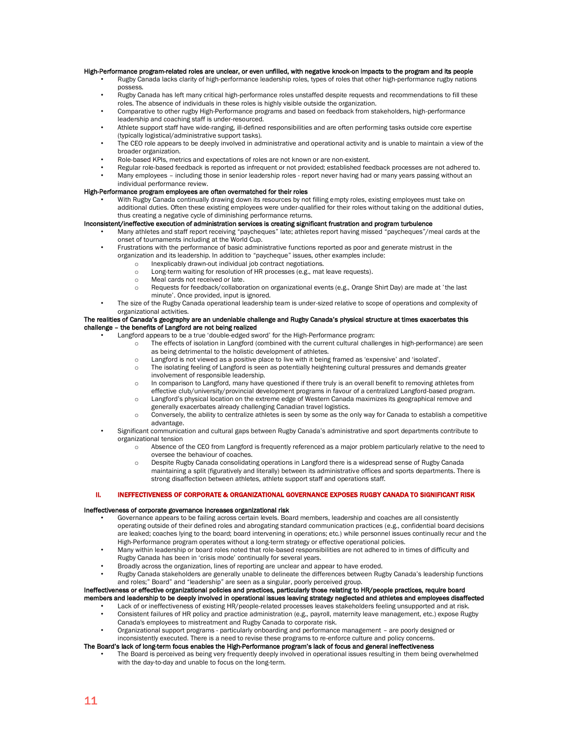#### High-Performance program-related roles are unclear, or even unfilled, with negative knock-on impacts to the program and its people

- Rugby Canada lacks clarity of high-performance leadership roles, types of roles that other high-performance rugby nations possess.
- Rugby Canada has left many critical high-performance roles unstaffed despite requests and recommendations to fill these roles. The absence of individuals in these roles is highly visible outside the organization.
- Comparative to other rugby High-Performance programs and based on feedback from stakeholders, high-performance leadership and coaching staff is under-resourced.
- Athlete support staff have wide-ranging, ill-defined responsibilities and are often performing tasks outside core expertise (typically logistical/administrative support tasks).
- The CEO role appears to be deeply involved in administrative and operational activity and is unable to maintain a view of the broader organization.
- Role-based KPIs, metrics and expectations of roles are not known or are non-existent.
- Regular role-based feedback is reported as infrequent or not provided; established feedback processes are not adhered to. • Many employees – including those in senior leadership roles - report never having had or many years passing without an
- individual performance review.

## High-Performance program employees are often overmatched for their roles

• With Rugby Canada continually drawing down its resources by not filling empty roles, existing employees must take on additional duties. Often these existing employees were under-qualified for their roles without taking on the additional duties, thus creating a negative cycle of diminishing performance returns.

#### Inconsistent/ineffective execution of administration services is creating significant frustration and program turbulence

- Many athletes and staff report receiving "paycheques" late; athletes report having missed "paycheques"/meal cards at the onset of tournaments including at the World Cup.
- Frustrations with the performance of basic administrative functions reported as poor and generate mistrust in the organization and its leadership. In addition to "paycheque" issues, other examples include:
	- o Inexplicably drawn-out individual job contract negotiations.<br>I ong-term waiting for resolution of HR processes (e.g., mat
	- Long-term waiting for resolution of HR processes (e.g., mat leave requests).
	- o Meal cards not received or late.
	- o Requests for feedback/collaboration on organizational events (e.g., Orange Shirt Day) are made at 'the last minute'. Once provided, input is ignored.
- The size of the Rugby Canada operational leadership team is under-sized relative to scope of operations and complexity of organizational activities.

#### The realities of Canada's geography are an undeniable challenge and Rugby Canada's physical structure at times exacerbates this challenge – the benefits of Langford are not being realized

- Langford appears to be a true 'double-edged sword' for the High-Performance program:
	- The effects of isolation in Langford (combined with the current cultural challenges in high-performance) are seen as being detrimental to the holistic development of athletes.
		- o Langford is not viewed as a positive place to live with it being framed as 'expensive' and 'isolated'.
		- o The isolating feeling of Langford is seen as potentially heightening cultural pressures and demands greater involvement of responsible leadership.
		- o In comparison to Langford, many have questioned if there truly is an overall benefit to removing athletes from effective club/university/provincial development programs in favour of a centralized Langford-based program.
		- o Langford's physical location on the extreme edge of Western Canada maximizes its geographical remove and generally exacerbates already challenging Canadian travel logistics.
		- o Conversely, the ability to centralize athletes is seen by some as the only way for Canada to establish a competitive advantage.
- Significant communication and cultural gaps between Rugby Canada's administrative and sport departments contribute to organizational tension
	- o Absence of the CEO from Langford is frequently referenced as a major problem particularly relative to the need to oversee the behaviour of coaches.
	- o Despite Rugby Canada consolidating operations in Langford there is a widespread sense of Rugby Canada maintaining a split (figuratively and literally) between its administrative offices and sports departments. There is strong disaffection between athletes, athlete support staff and operations staff.

## ii. INEFFECTIVENESS OF CORPORATE & ORGANIZATIONAL GOVERNANCE EXPOSES RUGBY CANADA TO SIGNIFICANT RISK

## Ineffectiveness of corporate governance increases organizational risk

- Governance appears to be failing across certain levels. Board members, leadership and coaches are all consistently operating outside of their defined roles and abrogating standard communication practices (e.g., confidential board decisions are leaked; coaches lying to the board; board intervening in operations; etc.) while personnel issues continually recur and the High-Performance program operates without a long-term strategy or effective operational policies.
- Many within leadership or board roles noted that role-based responsibilities are not adhered to in times of difficulty and Rugby Canada has been in 'crisis mode' continually for several years.
- Broadly across the organization, lines of reporting are unclear and appear to have eroded.
- Rugby Canada stakeholders are generally unable to delineate the differences between Rugby Canada's leadership functions and roles;" Board" and "leadership" are seen as a singular, poorly perceived group.

## Ineffectiveness or effective organizational policies and practices, particularly those relating to HR/people practices, require board members and leadership to be deeply involved in operational issues leaving strategy neglected and athletes and employees disaffected

- Lack of or ineffectiveness of existing HR/people-related processes leaves stakeholders feeling unsupported and at risk. • Consistent failures of HR policy and practice administration (e.g., payroll, maternity leave management, etc.) expose Rugby
- Canada's employees to mistreatment and Rugby Canada to corporate risk. • Organizational support programs - particularly onboarding and performance management – are poorly designed or inconsistently executed. There is a need to revise these programs to re-enforce culture and policy concerns.

#### The Board's lack of long-term focus enables the High-Performance program's lack of focus and general ineffectiveness

• The Board is perceived as being very frequently deeply involved in operational issues resulting in them being overwhelmed with the day-to-day and unable to focus on the long-term.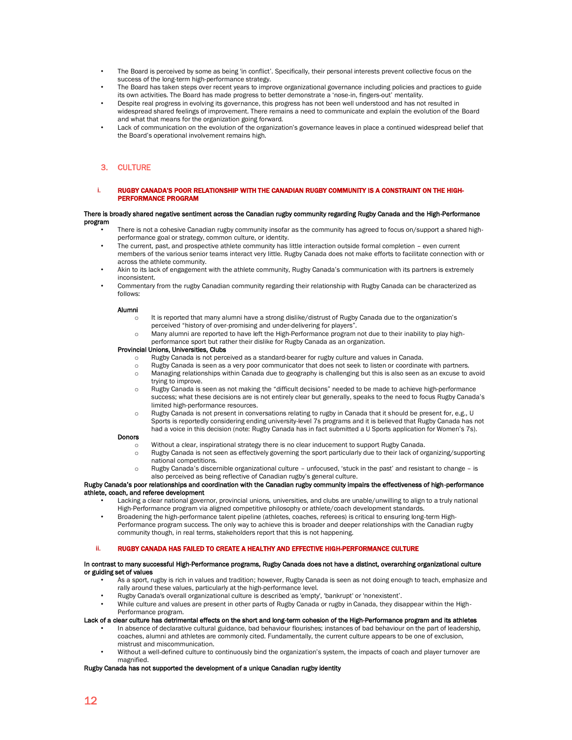- The Board is perceived by some as being 'in conflict'. Specifically, their personal interests prevent collective focus on the success of the long-term high-performance strategy.
- The Board has taken steps over recent years to improve organizational governance including policies and practices to guide its own activities. The Board has made progress to better demonstrate a 'nose-in, fingers-out' mentality.
- Despite real progress in evolving its governance, this progress has not been well understood and has not resulted in widespread shared feelings of improvement. There remains a need to communicate and explain the evolution of the Board and what that means for the organization going forward.
- Lack of communication on the evolution of the organization's governance leaves in place a continued widespread belief that the Board's operational involvement remains high.

## <span id="page-12-0"></span>3. CULTURE

i. RUGBY CANADA'S POOR RELATIONSHIP WITH THE CANADIAN RUGBY COMMUNITY IS A CONSTRAINT ON THE HIGH-PERFORMANCE PROGRAM

#### There is broadly shared negative sentiment across the Canadian rugby community regarding Rugby Canada and the High-Performance program

- There is not a cohesive Canadian rugby community insofar as the community has agreed to focus on/support a shared highperformance goal or strategy, common culture, or identity.
- The current, past, and prospective athlete community has little interaction outside formal completion even current members of the various senior teams interact very little. Rugby Canada does not make efforts to facilitate connection with or across the athlete community.
- Akin to its lack of engagement with the athlete community, Rugby Canada's communication with its partners is extremely inconsistent.
- Commentary from the rugby Canadian community regarding their relationship with Rugby Canada can be characterized as follows:

## Alumni

- o It is reported that many alumni have a strong dislike/distrust of Rugby Canada due to the organization's perceived "history of over-promising and under-delivering for players".
- o Many alumni are reported to have left the High-Performance program not due to their inability to play highperformance sport but rather their dislike for Rugby Canada as an organization.

## Provincial Unions, Universities, Clubs

- o Rugby Canada is not perceived as a standard-bearer for rugby culture and values in Canada.
- o Rugby Canada is seen as a very poor communicator that does not seek to listen or coordinate with partners.
- o Managing relationships within Canada due to geography is challenging but this is also seen as an excuse to avoid trying to improve.
- o Rugby Canada is seen as not making the "difficult decisions" needed to be made to achieve high-performance success; what these decisions are is not entirely clear but generally, speaks to the need to focus Rugby Canada's limited high-performance resources.
- o Rugby Canada is not present in conversations relating to rugby in Canada that it should be present for, e.g., U Sports is reportedly considering ending university-level 7s programs and it is believed that Rugby Canada has not had a voice in this decision (note: Rugby Canada has in fact submitted a U Sports application for Women's 7s).

## Donors

- o Without a clear, inspirational strategy there is no clear inducement to support Rugby Canada.
- o Rugby Canada is not seen as effectively governing the sport particularly due to their lack of organizing/supporting national competitions.
- Rugby Canada's discernible organizational culture unfocused, 'stuck in the past' and resistant to change is also perceived as being reflective of Canadian rugby's general culture.

## Rugby Canada's poor relationships and coordination with the Canadian rugby community impairs the effectiveness of high-performance athlete, coach, and referee development

- Lacking a clear national governor, provincial unions, universities, and clubs are unable/unwilling to align to a truly national High-Performance program via aligned competitive philosophy or athlete/coach development standards.
	- Broadening the high-performance talent pipeline (athletes, coaches, referees) is critical to ensuring long-term High-
- Performance program success. The only way to achieve this is broader and deeper relationships with the Canadian rugby community though, in real terms, stakeholders report that this is not happening.

## ii. RUGBY CANADA HAS FAILED TO CREATE A HEALTHY AND EFFECTIVE HIGH-PERFORMANCE CULTURE

#### In contrast to many successful High-Performance programs, Rugby Canada does not have a distinct, overarching organizational culture or guiding set of values

- As a sport, rugby is rich in values and tradition; however, Rugby Canada is seen as not doing enough to teach, emphasize and rally around these values, particularly at the high-performance level.
	- Rugby Canada's overall organizational culture is described as 'empty', 'bankrupt' or 'nonexistent'.
- While culture and values are present in other parts of Rugby Canada or rugby in Canada, they disappear within the High-Performance program.

## Lack of a clear culture has detrimental effects on the short and long-term cohesion of the High-Performance program and its athletes

- In absence of declarative cultural guidance, bad behaviour flourishes; instances of bad behaviour on the part of leadership, coaches, alumni and athletes are commonly cited. Fundamentally, the current culture appears to be one of exclusion, mistrust and miscommunication.
- Without a well-defined culture to continuously bind the organization's system, the impacts of coach and player turnover are magnified.

### Rugby Canada has not supported the development of a unique Canadian rugby identity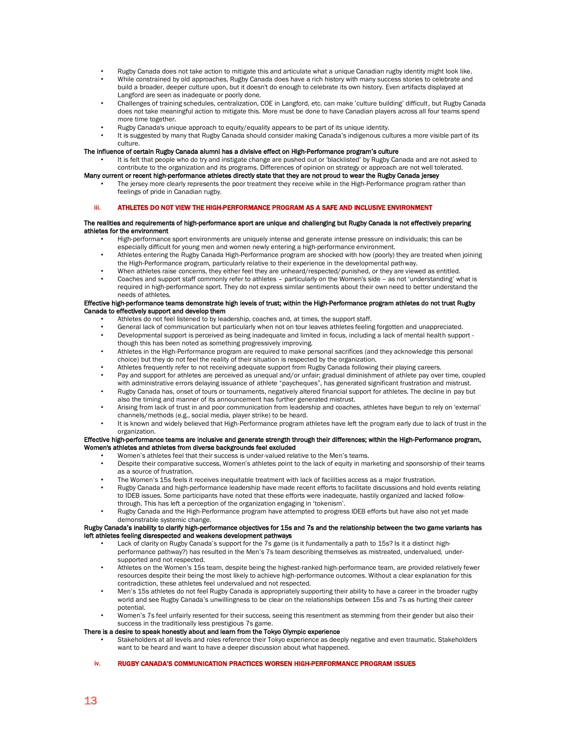- Rugby Canada does not take action to mitigate this and articulate what a unique Canadian rugby identity might look like.
- While constrained by old approaches, Rugby Canada does have a rich history with many success stories to celebrate and build a broader, deeper culture upon, but it doesn't do enough to celebrate its own history. Even artifacts displayed at Langford are seen as inadequate or poorly done.
- Challenges of training schedules, centralization, COE in Langford, etc. can make 'culture building' difficult, but Rugby Canada does not take meaningful action to mitigate this. More must be done to have Canadian players across all four teams spend more time together.
- Rugby Canada's unique approach to equity/equality appears to be part of its unique identity.
- It is suggested by many that Rugby Canada should consider making Canada's indigenous cultures a more visible part of its culture.

## The influence of certain Rugby Canada alumni has a divisive effect on High-Performance program's culture

• It is felt that people who do try and instigate change are pushed out or 'blacklisted' by Rugby Canada and are not asked to contribute to the organization and its programs. Differences of opinion on strategy or approach are not well tolerated.

## Many current or recent high-performance athletes directly state that they are not proud to wear the Rugby Canada jersey

The jersey more clearly represents the poor treatment they receive while in the High-Performance program rather than feelings of pride in Canadian rugby.

#### iii. ATHLETES DO NOT VIEW THE HIGH-PERFORMANCE PROGRAM AS A SAFE AND INCLUSIVE ENVIRONMENT

#### The realities and requirements of high-performance sport are unique and challenging but Rugby Canada is not effectively preparing athletes for the environment

- High-performance sport environments are uniquely intense and generate intense pressure on individuals; this can be especially difficult for young men and women newly entering a high-performance environment.
- Athletes entering the Rugby Canada High-Performance program are shocked with how (poorly) they are treated when joining the High-Performance program, particularly relative to their experience in the developmental pathway.
- When athletes raise concerns, they either feel they are unheard/respected/punished, or they are viewed as entitled.
- Coaches and support staff commonly refer to athletes particularly on the Women's side as not 'understanding' what is required in high-performance sport. They do not express similar sentiments about their own need to better understand the needs of athletes.

#### Effective high-performance teams demonstrate high levels of trust; within the High-Performance program athletes do not trust Rugby Canada to effectively support and develop them

- Athletes do not feel listened to by leadership, coaches and, at times, the support staff.
- General lack of communication but particularly when not on tour leaves athletes feeling forgotten and unappreciated.
- Developmental support is perceived as being inadequate and limited in focus, including a lack of mental health support though this has been noted as something progressively improving.
- Athletes in the High-Performance program are required to make personal sacrifices (and they acknowledge this personal choice) but they do not feel the reality of their situation is respected by the organization.
- Athletes frequently refer to not receiving adequate support from Rugby Canada following their playing careers.
- Pay and support for athletes are perceived as unequal and/or unfair; gradual diminishment of athlete pay over time, coupled with administrative errors delaying issuance of athlete "paycheques", has generated significant frustration and mistrust.
- Rugby Canada has, onset of tours or tournaments, negatively altered financial support for athletes. The decline in pay but also the timing and manner of its announcement has further generated mistrust.
- Arising from lack of trust in and poor communication from leadership and coaches, athletes have begun to rely on 'external' channels/methods (e.g., social media, player strike) to be heard.
- It is known and widely believed that High-Performance program athletes have left the program early due to lack of trust in the organization.

#### Effective high-performance teams are inclusive and generate strength through their differences; within the High-Performance program, Women's athletes and athletes from diverse backgrounds feel excluded

- Women's athletes feel that their success is under-valued relative to the Men's teams.
	- Despite their comparative success, Women's athletes point to the lack of equity in marketing and sponsorship of their teams as a source of frustration.
	- The Women's 15s feels it receives inequitable treatment with lack of facilities access as a major frustration.
	- Rugby Canada and high-performance leadership have made recent efforts to facilitate discussions and hold events relating to IDEB issues. Some participants have noted that these efforts were inadequate, hastily organized and lacked followthrough. This has left a perception of the organization engaging in 'tokenism'.
	- Rugby Canada and the High-Performance program have attempted to progress IDEB efforts but have also not yet made demonstrable systemic change.

#### Rugby Canada's inability to clarify high-performance objectives for 15s and 7s and the relationship between the two game variants has left athletes feeling disrespected and weakens development pathways

- Lack of clarity on Rugby Canada's support for the 7s game (is it fundamentally a path to 15s? Is it a distinct highperformance pathway?) has resulted in the Men's 7s team describing themselves as mistreated, undervalued, undersupported and not respected.
- Athletes on the Women's 15s team, despite being the highest-ranked high-performance team, are provided relatively fewer resources despite their being the most likely to achieve high-performance outcomes. Without a clear explanation for this contradiction, these athletes feel undervalued and not respected.
- Men's 15s athletes do not feel Rugby Canada is appropriately supporting their ability to have a career in the broader rugby world and see Rugby Canada's unwillingness to be clear on the relationships between 15s and 7s as hurting their career potential.
- Women's 7s feel unfairly resented for their success, seeing this resentment as stemming from their gender but also their success in the traditionally less prestigious 7s game.

## There is a desire to speak honestly about and learn from the Tokyo Olympic experience

• Stakeholders at all levels and roles reference their Tokyo experience as deeply negative and even traumatic. Stakeholders want to be heard and want to have a deeper discussion about what happened.

## iv. RUGBY CANADA'S COMMUNICATION PRACTICES WORSEN HIGH-PERFORMANCE PROGRAM ISSUES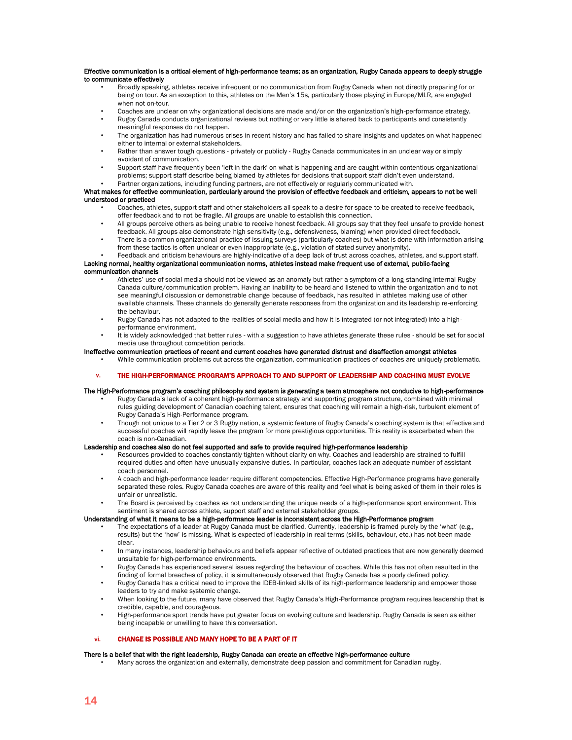#### Effective communication is a critical element of high-performance teams; as an organization, Rugby Canada appears to deeply struggle to communicate effectively

- Broadly speaking, athletes receive infrequent or no communication from Rugby Canada when not directly preparing for or being on tour. As an exception to this, athletes on the Men's 15s, particularly those playing in Europe/MLR, are engaged when not on-tour.
- Coaches are unclear on why organizational decisions are made and/or on the organization's high-performance strategy.
- Rugby Canada conducts organizational reviews but nothing or very little is shared back to participants and consistently meaningful responses do not happen.
- The organization has had numerous crises in recent history and has failed to share insights and updates on what happened either to internal or external stakeholders.
- Rather than answer tough questions privately or publicly Rugby Canada communicates in an unclear way or simply avoidant of communication.
- Support staff have frequently been 'left in the dark' on what is happening and are caught within contentious organizational problems; support staff describe being blamed by athletes for decisions that support staff didn't even understand.
- Partner organizations, including funding partners, are not effectively or regularly communicated with.

## What makes for effective communication, particularly around the provision of effective feedback and criticism, appears to not be well understood or practiced

- Coaches, athletes, support staff and other stakeholders all speak to a desire for space to be created to receive feedback, offer feedback and to not be fragile. All groups are unable to establish this connection.
- All groups perceive others as being unable to receive honest feedback. All groups say that they feel unsafe to provide honest feedback. All groups also demonstrate high sensitivity (e.g., defensiveness, blaming) when provided direct feedback.
- There is a common organizational practice of issuing surveys (particularly coaches) but what is done with information arising from these tactics is often unclear or even inappropriate (e.g., violation of stated survey anonymity).
- Feedback and criticism behaviours are highly-indicative of a deep lack of trust across coaches, athletes, and support staff. Lacking normal, healthy organizational communication norms, athletes instead make frequent use of external, public-facing

## communication channels

- Athletes' use of social media should not be viewed as an anomaly but rather a symptom of a long-standing internal Rugby Canada culture/communication problem. Having an inability to be heard and listened to within the organization and to not see meaningful discussion or demonstrable change because of feedback, has resulted in athletes making use of other available channels. These channels do generally generate responses from the organization and its leadership re-enforcing the behaviour.
- Rugby Canada has not adapted to the realities of social media and how it is integrated (or not integrated) into a highperformance environment.
- It is widely acknowledged that better rules with a suggestion to have athletes generate these rules should be set for social media use throughout competition periods.

## Ineffective communication practices of recent and current coaches have generated distrust and disaffection amongst athletes

• While communication problems cut across the organization, communication practices of coaches are uniquely problematic.

## v. THE HIGH-PERFORMANCE PROGRAM'S APPROACH TO AND SUPPORT OF LEADERSHIP AND COACHING MUST EVOLVE

## The High-Performance program's coaching philosophy and system is generating a team atmosphere not conducive to high-performance

- Rugby Canada's lack of a coherent high-performance strategy and supporting program structure, combined with minimal rules guiding development of Canadian coaching talent, ensures that coaching will remain a high-risk, turbulent element of Rugby Canada's High-Performance program.
- Though not unique to a Tier 2 or 3 Rugby nation, a systemic feature of Rugby Canada's coaching system is that effective and successful coaches will rapidly leave the program for more prestigious opportunities. This reality is exacerbated when the coach is non-Canadian.

## Leadership and coaches also do not feel supported and safe to provide required high-performance leadership

- Resources provided to coaches constantly tighten without clarity on why. Coaches and leadership are strained to fulfill required duties and often have unusually expansive duties. In particular, coaches lack an adequate number of assistant coach personnel.
- A coach and high-performance leader require different competencies. Effective High-Performance programs have generally separated these roles. Rugby Canada coaches are aware of this reality and feel what is being asked of them in their roles is unfair or unrealistic.
- The Board is perceived by coaches as not understanding the unique needs of a high-performance sport environment. This sentiment is shared across athlete, support staff and external stakeholder groups.

## Understanding of what it means to be a high-performance leader is inconsistent across the High-Performance program

- The expectations of a leader at Rugby Canada must be clarified. Currently, leadership is framed purely by the 'what' (e.g., results) but the 'how' is missing. What is expected of leadership in real terms (skills, behaviour, etc.) has not been made clear.
- In many instances, leadership behaviours and beliefs appear reflective of outdated practices that are now generally deemed unsuitable for high-performance environments.
- Rugby Canada has experienced several issues regarding the behaviour of coaches. While this has not often resulted in the finding of formal breaches of policy, it is simultaneously observed that Rugby Canada has a poorly defined policy.
- Rugby Canada has a critical need to improve the IDEB-linked skills of its high-performance leadership and empower those leaders to try and make systemic change.
- When looking to the future, many have observed that Rugby Canada's High-Performance program requires leadership that is credible, capable, and courageous.
- High-performance sport trends have put greater focus on evolving culture and leadership. Rugby Canada is seen as either being incapable or unwilling to have this conversation.

## vi. CHANGE IS POSSIBLE AND MANY HOPE TO BE A PART OF IT

## There is a belief that with the right leadership, Rugby Canada can create an effective high-performance culture

• Many across the organization and externally, demonstrate deep passion and commitment for Canadian rugby.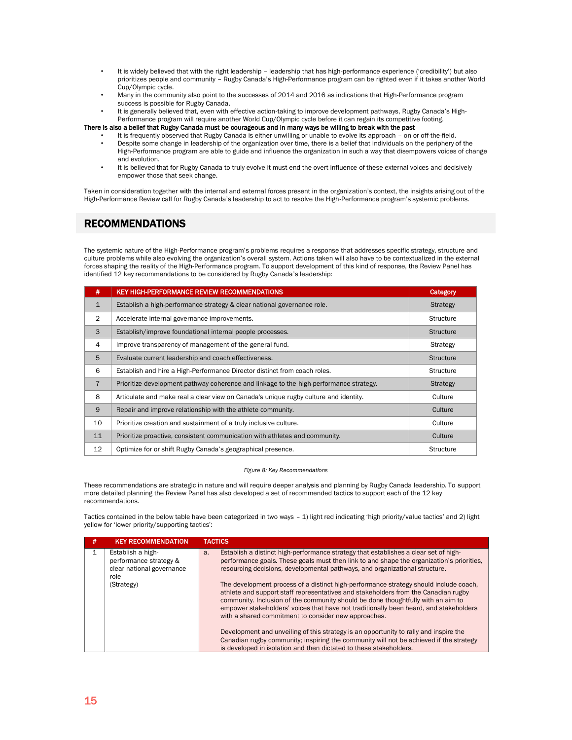- It is widely believed that with the right leadership leadership that has high-performance experience ('credibility') but also prioritizes people and community – Rugby Canada's High-Performance program can be righted even if it takes another World Cup/Olympic cycle.
- Many in the community also point to the successes of 2014 and 2016 as indications that High-Performance program success is possible for Rugby Canada.
- It is generally believed that, even with effective action-taking to improve development pathways, Rugby Canada's High-Performance program will require another World Cup/Olympic cycle before it can regain its competitive footing.

There is also a belief that Rugby Canada must be courageous and in many ways be willing to break with the past

- It is frequently observed that Rugby Canada is either unwilling or unable to evolve its approach on or off-the-field. • Despite some change in leadership of the organization over time, there is a belief that individuals on the periphery of the
- High-Performance program are able to guide and influence the organization in such a way that disempowers voices of change and evolution.
- It is believed that for Rugby Canada to truly evolve it must end the overt influence of these external voices and decisively empower those that seek change.

Taken in consideration together with the internal and external forces present in the organization's context, the insights arising out of the High-Performance Review call for Rugby Canada's leadership to act to resolve the High-Performance program's systemic problems.

# <span id="page-15-0"></span>RECOMMENDATIONS

The systemic nature of the High-Performance program's problems requires a response that addresses specific strategy, structure and culture problems while also evolving the organization's overall system. Actions taken will also have to be contextualized in the external forces shaping the reality of the High-Performance program. To support development of this kind of response, the Review Panel has identified 12 key recommendations to be considered by Rugby Canada's leadership:

| #              | KEY HIGH-PERFORMANCE REVIEW RECOMMENDATIONS                                            | Category         |
|----------------|----------------------------------------------------------------------------------------|------------------|
| $\mathbf{1}$   | Establish a high-performance strategy & clear national governance role.                | <b>Strategy</b>  |
| $\overline{2}$ | Accelerate internal governance improvements.                                           | <b>Structure</b> |
| 3              | Establish/improve foundational internal people processes.                              | <b>Structure</b> |
| 4              | Improve transparency of management of the general fund.                                | Strategy         |
| 5              | Evaluate current leadership and coach effectiveness.                                   | <b>Structure</b> |
| 6              | Establish and hire a High-Performance Director distinct from coach roles.              | <b>Structure</b> |
| $\overline{7}$ | Prioritize development pathway coherence and linkage to the high-performance strategy. | Strategy         |
| 8              | Articulate and make real a clear view on Canada's unique rugby culture and identity.   | Culture          |
| 9              | Repair and improve relationship with the athlete community.                            | Culture          |
| 10             | Prioritize creation and sustainment of a truly inclusive culture.                      | Culture          |
| 11             | Prioritize proactive, consistent communication with athletes and community.            | Culture          |
| 12             | Optimize for or shift Rugby Canada's geographical presence.                            | <b>Structure</b> |

#### *Figure 8: Key Recommendations*

These recommendations are strategic in nature and will require deeper analysis and planning by Rugby Canada leadership. To support more detailed planning the Review Panel has also developed a set of recommended tactics to support each of the 12 key recommendations.

Tactics contained in the below table have been categorized in two ways – 1) light red indicating 'high priority/value tactics' and 2) light yellow for 'lower priority/supporting tactics':

| # | <b>KEY RECOMMENDATION</b>                                                        | <b>TACTICS</b>                                                                                                                                                                                                                                                                                                                                                                                                                                                                                                                                                                                      |
|---|----------------------------------------------------------------------------------|-----------------------------------------------------------------------------------------------------------------------------------------------------------------------------------------------------------------------------------------------------------------------------------------------------------------------------------------------------------------------------------------------------------------------------------------------------------------------------------------------------------------------------------------------------------------------------------------------------|
|   | Establish a high-<br>performance strategy &<br>clear national governance<br>role | Establish a distinct high-performance strategy that establishes a clear set of high-<br>$a$ .<br>performance goals. These goals must then link to and shape the organization's priorities,<br>resourcing decisions, developmental pathways, and organizational structure.                                                                                                                                                                                                                                                                                                                           |
|   | (Strategy)                                                                       | The development process of a distinct high-performance strategy should include coach,<br>athlete and support staff representatives and stakeholders from the Canadian rugby<br>community. Inclusion of the community should be done thoughtfully with an aim to<br>empower stakeholders' voices that have not traditionally been heard, and stakeholders<br>with a shared commitment to consider new approaches.<br>Development and unveiling of this strategy is an opportunity to rally and inspire the<br>Canadian rugby community; inspiring the community will not be achieved if the strategy |
|   |                                                                                  | is developed in isolation and then dictated to these stakeholders.                                                                                                                                                                                                                                                                                                                                                                                                                                                                                                                                  |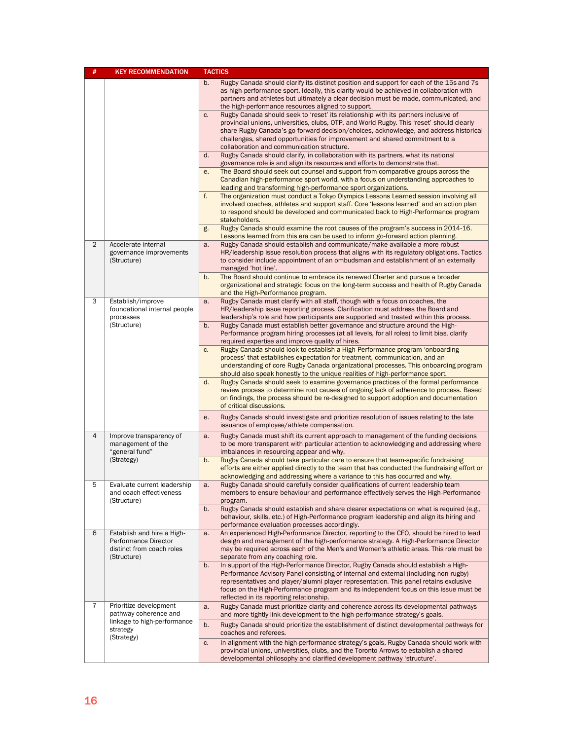| #              | <b>KEY RECOMMENDATION</b><br><b>TACTICS</b>                                                    |                                                                                                                                                                                                                                                                                                                                                                                                                |
|----------------|------------------------------------------------------------------------------------------------|----------------------------------------------------------------------------------------------------------------------------------------------------------------------------------------------------------------------------------------------------------------------------------------------------------------------------------------------------------------------------------------------------------------|
|                |                                                                                                | Rugby Canada should clarify its distinct position and support for each of the 15s and 7s<br>b.<br>as high-performance sport. Ideally, this clarity would be achieved in collaboration with<br>partners and athletes but ultimately a clear decision must be made, communicated, and<br>the high-performance resources aligned to support.                                                                      |
|                |                                                                                                | Rugby Canada should seek to 'reset' its relationship with its partners inclusive of<br>C.<br>provincial unions, universities, clubs, OTP, and World Rugby. This 'reset' should clearly<br>share Rugby Canada's go-forward decision/choices, acknowledge, and address historical<br>challenges, shared opportunities for improvement and shared commitment to a<br>collaboration and communication structure.   |
|                |                                                                                                | d.<br>Rugby Canada should clarify, in collaboration with its partners, what its national<br>governance role is and align its resources and efforts to demonstrate that.                                                                                                                                                                                                                                        |
|                |                                                                                                | The Board should seek out counsel and support from comparative groups across the<br>е.<br>Canadian high-performance sport world, with a focus on understanding approaches to<br>leading and transforming high-performance sport organizations.                                                                                                                                                                 |
|                |                                                                                                | f.<br>The organization must conduct a Tokyo Olympics Lessons Learned session involving all<br>involved coaches, athletes and support staff. Core 'lessons learned' and an action plan<br>to respond should be developed and communicated back to High-Performance program<br>stakeholders.                                                                                                                     |
|                |                                                                                                | Rugby Canada should examine the root causes of the program's success in 2014-16.<br>g.<br>Lessons learned from this era can be used to inform go-forward action planning.                                                                                                                                                                                                                                      |
| $\overline{2}$ | Accelerate internal<br>governance improvements<br>(Structure)                                  | Rugby Canada should establish and communicate/make available a more robust<br>a.<br>HR/leadership issue resolution process that aligns with its regulatory obligations. Tactics<br>to consider include appointment of an ombudsman and establishment of an externally<br>managed 'hot line'.                                                                                                                   |
|                |                                                                                                | b.<br>The Board should continue to embrace its renewed Charter and pursue a broader<br>organizational and strategic focus on the long-term success and health of Rugby Canada<br>and the High-Performance program.                                                                                                                                                                                             |
| 3              | Establish/improve<br>foundational internal people<br>processes<br>(Structure)                  | Rugby Canada must clarify with all staff, though with a focus on coaches, the<br>a.<br>HR/leadership issue reporting process. Clarification must address the Board and<br>leadership's role and how participants are supported and treated within this process.                                                                                                                                                |
|                |                                                                                                | Rugby Canada must establish better governance and structure around the High-<br>b.<br>Performance program hiring processes (at all levels, for all roles) to limit bias, clarify<br>required expertise and improve quality of hires.                                                                                                                                                                           |
|                |                                                                                                | Rugby Canada should look to establish a High-Performance program 'onboarding<br>c.<br>process' that establishes expectation for treatment, communication, and an<br>understanding of core Rugby Canada organizational processes. This onboarding program<br>should also speak honestly to the unique realities of high-performance sport.                                                                      |
|                |                                                                                                | d.<br>Rugby Canada should seek to examine governance practices of the formal performance<br>review process to determine root causes of ongoing lack of adherence to process. Based<br>on findings, the process should be re-designed to support adoption and documentation<br>of critical discussions.                                                                                                         |
|                |                                                                                                | Rugby Canada should investigate and prioritize resolution of issues relating to the late<br>е.<br>issuance of employee/athlete compensation.                                                                                                                                                                                                                                                                   |
| 4              | Improve transparency of<br>management of the<br>"general fund"                                 | Rugby Canada must shift its current approach to management of the funding decisions<br>a.<br>to be more transparent with particular attention to acknowledging and addressing where<br>imbalances in resourcing appear and why.                                                                                                                                                                                |
|                | (Strategy)                                                                                     | Rugby Canada should take particular care to ensure that team-specific fundraising<br>b.<br>efforts are either applied directly to the team that has conducted the fundraising effort or<br>acknowledging and addressing where a variance to this has occurred and why.                                                                                                                                         |
| 5              | Evaluate current leadership<br>and coach effectiveness<br>(Structure)                          | Rugby Canada should carefully consider qualifications of current leadership team<br>a.<br>members to ensure behaviour and performance effectively serves the High-Performance<br>program.                                                                                                                                                                                                                      |
|                |                                                                                                | Rugby Canada should establish and share clearer expectations on what is required (e.g.,<br>b.<br>behaviour, skills, etc.) of High-Performance program leadership and align its hiring and<br>performance evaluation processes accordingly.                                                                                                                                                                     |
| 6              | Establish and hire a High-<br>Performance Director<br>distinct from coach roles<br>(Structure) | An experienced High-Performance Director, reporting to the CEO, should be hired to lead<br>a.<br>design and management of the high-performance strategy. A High-Performance Director<br>may be required across each of the Men's and Women's athletic areas. This role must be<br>separate from any coaching role.                                                                                             |
|                |                                                                                                | In support of the High-Performance Director, Rugby Canada should establish a High-<br>b.<br>Performance Advisory Panel consisting of internal and external (including non-rugby)<br>representatives and player/alumni player representation. This panel retains exclusive<br>focus on the High-Performance program and its independent focus on this issue must be<br>reflected in its reporting relationship. |
| 7              | Prioritize development<br>pathway coherence and                                                | Rugby Canada must prioritize clarity and coherence across its developmental pathways<br>a.<br>and more tightly link development to the high-performance strategy's goals.                                                                                                                                                                                                                                      |
|                | linkage to high-performance<br>strategy                                                        | Rugby Canada should prioritize the establishment of distinct developmental pathways for<br>b.<br>coaches and referees.                                                                                                                                                                                                                                                                                         |
|                | (Strategy)                                                                                     | In alignment with the high-performance strategy's goals, Rugby Canada should work with<br>c.<br>provincial unions, universities, clubs, and the Toronto Arrows to establish a shared<br>developmental philosophy and clarified development pathway 'structure'.                                                                                                                                                |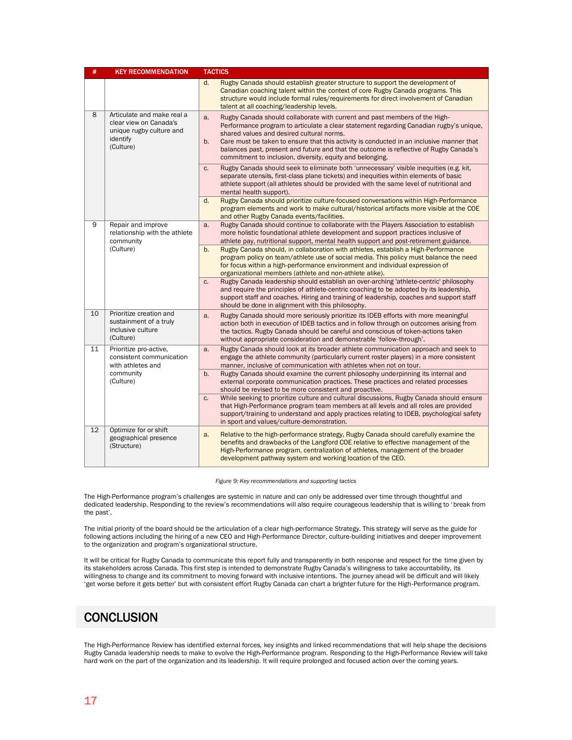| #  | <b>KEY RECOMMENDATION</b>                                                                                 | <b>TACTICS</b>                                                                                                                                                                                                                                                                                                                                                                                                                                                                   |
|----|-----------------------------------------------------------------------------------------------------------|----------------------------------------------------------------------------------------------------------------------------------------------------------------------------------------------------------------------------------------------------------------------------------------------------------------------------------------------------------------------------------------------------------------------------------------------------------------------------------|
|    |                                                                                                           | Rugby Canada should establish greater structure to support the development of<br>d.<br>Canadian coaching talent within the context of core Rugby Canada programs. This<br>structure would include formal rules/requirements for direct involvement of Canadian<br>talent at all coaching/leadership levels.                                                                                                                                                                      |
| 8  | Articulate and make real a<br>clear view on Canada's<br>unique rugby culture and<br>identify<br>(Culture) | Rugby Canada should collaborate with current and past members of the High-<br>a.<br>Performance program to articulate a clear statement regarding Canadian rugby's unique,<br>shared values and desired cultural norms.<br>Care must be taken to ensure that this activity is conducted in an inclusive manner that<br>b.<br>balances past, present and future and that the outcome is reflective of Rugby Canada's<br>commitment to inclusion, diversity, equity and belonging. |
|    |                                                                                                           | Rugby Canada should seek to eliminate both 'unnecessary' visible inequities (e.g. kit,<br>C.<br>separate utensils, first-class plane tickets) and inequities within elements of basic<br>athlete support (all athletes should be provided with the same level of nutritional and<br>mental health support).                                                                                                                                                                      |
|    |                                                                                                           | d.<br>Rugby Canada should prioritize culture-focused conversations within High-Performance<br>program elements and work to make cultural/historical artifacts more visible at the COE<br>and other Rugby Canada events/facilities.                                                                                                                                                                                                                                               |
| 9  | Repair and improve<br>relationship with the athlete<br>community                                          | Rugby Canada should continue to collaborate with the Players Association to establish<br>a.<br>more holistic foundational athlete development and support practices inclusive of<br>athlete pay, nutritional support, mental health support and post-retirement guidance.                                                                                                                                                                                                        |
|    | (Culture)                                                                                                 | Rugby Canada should, in collaboration with athletes, establish a High-Performance<br>b.<br>program policy on team/athlete use of social media. This policy must balance the need<br>for focus within a high-performance environment and individual expression of<br>organizational members (athlete and non-athlete alike).                                                                                                                                                      |
|    |                                                                                                           | Rugby Canada leadership should establish an over-arching 'athlete-centric' philosophy<br>C.<br>and require the principles of athlete-centric coaching to be adopted by its leadership.<br>support staff and coaches. Hiring and training of leadership, coaches and support staff<br>should be done in alignment with this philosophy.                                                                                                                                           |
| 10 | Prioritize creation and<br>sustainment of a truly<br>inclusive culture<br>(Culture)                       | Rugby Canada should more seriously prioritize its IDEB efforts with more meaningful<br>a.<br>action both in execution of IDEB tactics and in follow through on outcomes arising from<br>the tactics. Rugby Canada should be careful and conscious of token-actions taken<br>without appropriate consideration and demonstrable 'follow-through'.                                                                                                                                 |
| 11 | Prioritize pro-active,<br>consistent communication<br>with athletes and                                   | Rugby Canada should look at its broader athlete communication approach and seek to<br>a.<br>engage the athlete community (particularly current roster players) in a more consistent<br>manner, inclusive of communication with athletes when not on tour.                                                                                                                                                                                                                        |
|    | community<br>(Culture)                                                                                    | Rugby Canada should examine the current philosophy underpinning its internal and<br>b.<br>external corporate communication practices. These practices and related processes<br>should be revised to be more consistent and proactive.                                                                                                                                                                                                                                            |
|    |                                                                                                           | While seeking to prioritize culture and cultural discussions, Rugby Canada should ensure<br>C.<br>that High-Performance program team members at all levels and all roles are provided<br>support/training to understand and apply practices relating to IDEB, psychological safety<br>in sport and values/culture-demonstration.                                                                                                                                                 |
| 12 | Optimize for or shift<br>geographical presence<br>(Structure)                                             | Relative to the high-performance strategy, Rugby Canada should carefully examine the<br>a.<br>benefits and drawbacks of the Langford COE relative to effective management of the<br>High-Performance program, centralization of athletes, management of the broader<br>development pathway system and working location of the CEO.                                                                                                                                               |

*Figure 9: Key recommendations and supporting tactics*

The High-Performance program's challenges are systemic in nature and can only be addressed over time through thoughtful and dedicated leadership. Responding to the review's recommendations will also require courageous leadership that is willing to 'break from the past'.

The initial priority of the board should be the articulation of a clear high-performance Strategy. This strategy will serve as the guide for following actions including the hiring of a new CEO and High-Performance Director, culture-building initiatives and deeper improvement to the organization and program's organizational structure.

It will be critical for Rugby Canada to communicate this report fully and transparently in both response and respect for the time given by its stakeholders across Canada. This first step is intended to demonstrate Rugby Canada's willingness to take accountability, its willingness to change and its commitment to moving forward with inclusive intentions. The journey ahead will be difficult and will likely 'get worse before it gets better' but with consistent effort Rugby Canada can chart a brighter future for the High-Performance program.

# <span id="page-17-0"></span>**CONCLUSION**

The High-Performance Review has identified external forces, key insights and linked recommendations that will help shape the decisions Rugby Canada leadership needs to make to evolve the High-Performance program. Responding to the High-Performance Review will take hard work on the part of the organization and its leadership. It will require prolonged and focused action over the coming years.